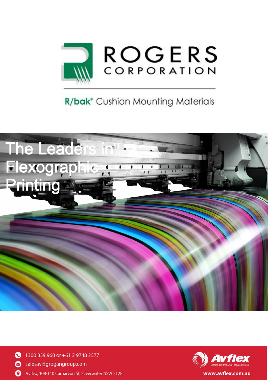

# R/bak<sup>®</sup> Cushion Mounting Materials







www.avflex.com.au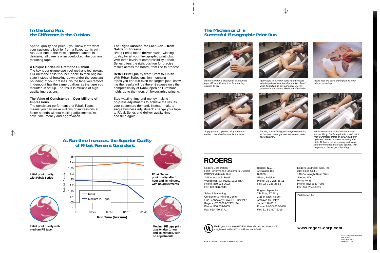# In the Long Run,<br>the Difference is the Cushion.

Speed, quality and price – you know that's what your customers look for from a flexographic print run. And one of the most important factors in delivering all three is often overlooked: the cushion mounting tape.

### **A Unique Open-Cell Urethane Cushion**

The key is our unique open-cell urethane technology. Our urethane cells "bounce back" to their original state instead of breaking down under the constant pounding of your presses. So the tape you remove in demount has the same qualities as the tape you mounted in set up. The result is millions of highquality impressions.

#### **The Value of Consistency – Over Millions of Impressions**

The consistent performance of R/bak Tapes means you can make millions of impressions at faster speeds without making adjustments.You save time, money and aggravation.

#### **The Right Cushion for Each Job – from Solids to Screens**

R/bak Series tapes deliver award-winning quality for all your flexographic print jobs. With three levels of compressibility, R/bak Series offers the right cushion for precise results across the board, from line to process.

#### **Better Print Quality from Start to Finish**

With R/bak Series cushion mounting tapes you can run even the largest jobs, knowing the results will be there. Because only the compressibility of R/bak open-cell urethane holds up to the rigors of flexographic printing.

Stop wasting time and money making on-press adjustments to achieve the results your customers demand. Instead, make a single business adjustment: change your tape to R/bak Series and deliver quality time and time again.



**Initial print quality with R/bak Series**



**Initial print quality with medium PE tape.**

### **As Run-time Increases, the Superior Quality of R/bak Remains Consistent.**





**R/bak Series print quality after 1 hour and 45 minutes, with no adjustments.**



**Medium PE tape print quality after 1 hour and 45 minutes, with no adjustments.**